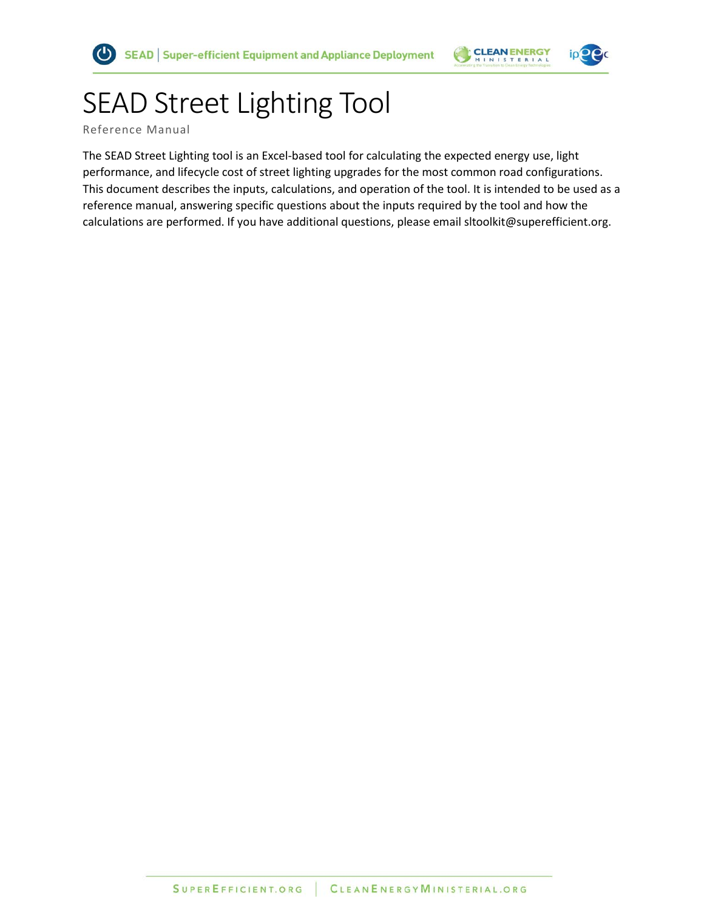

# SEAD Street Lighting Tool

Reference Manual

The SEAD Street Lighting tool is an Excel-based tool for calculating the expected energy use, light performance, and lifecycle cost of street lighting upgrades for the most common road configurations. This document describes the inputs, calculations, and operation of the tool. It is intended to be used as a reference manual, answering specific questions about the inputs required by the tool and how the calculations are performed. If you have additional questions, please email sltoolkit@superefficient.org.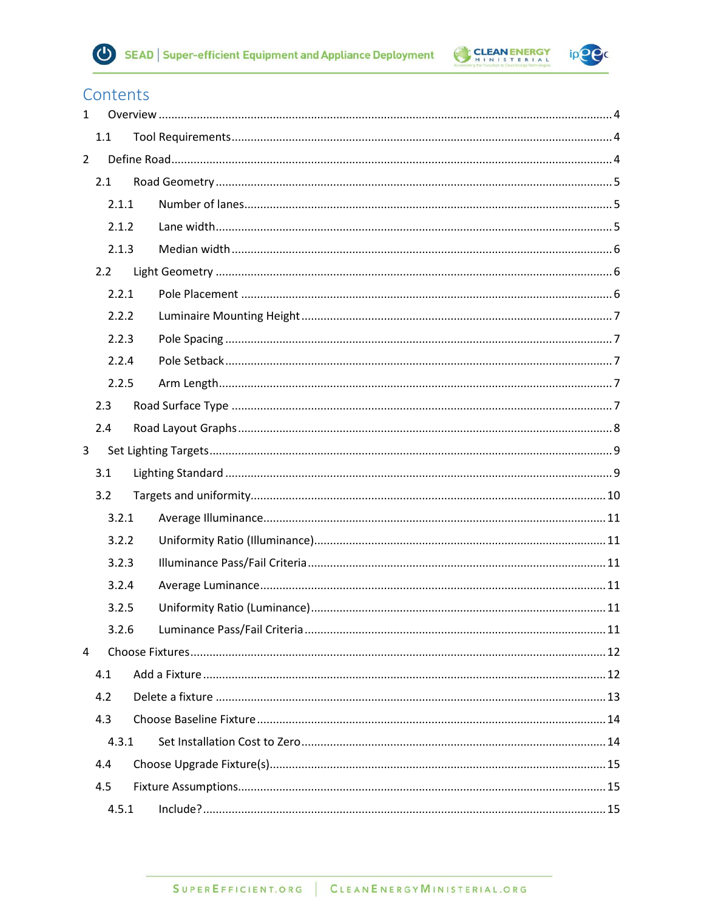



 $ipP$ 

# Contents

| $\mathbf{1}$   |       |  |  |
|----------------|-------|--|--|
|                | 1.1   |  |  |
| $\overline{2}$ |       |  |  |
|                | 2.1   |  |  |
|                | 2.1.1 |  |  |
|                | 2.1.2 |  |  |
|                | 2.1.3 |  |  |
|                | 2.2   |  |  |
|                | 2.2.1 |  |  |
|                | 2.2.2 |  |  |
|                | 2.2.3 |  |  |
|                | 2.2.4 |  |  |
|                | 2.2.5 |  |  |
|                | 2.3   |  |  |
|                | 2.4   |  |  |
| 3              |       |  |  |
|                | 3.1   |  |  |
|                | 3.2   |  |  |
|                | 3.2.1 |  |  |
|                | 3.2.2 |  |  |
|                | 3.2.3 |  |  |
|                | 3.2.4 |  |  |
|                | 3.2.5 |  |  |
|                | 3.2.6 |  |  |
| 4              |       |  |  |
|                | 4.1   |  |  |
|                | 4.2   |  |  |
|                | 4.3   |  |  |
|                | 4.3.1 |  |  |
|                | 4.4   |  |  |
|                | 4.5   |  |  |
|                | 4.5.1 |  |  |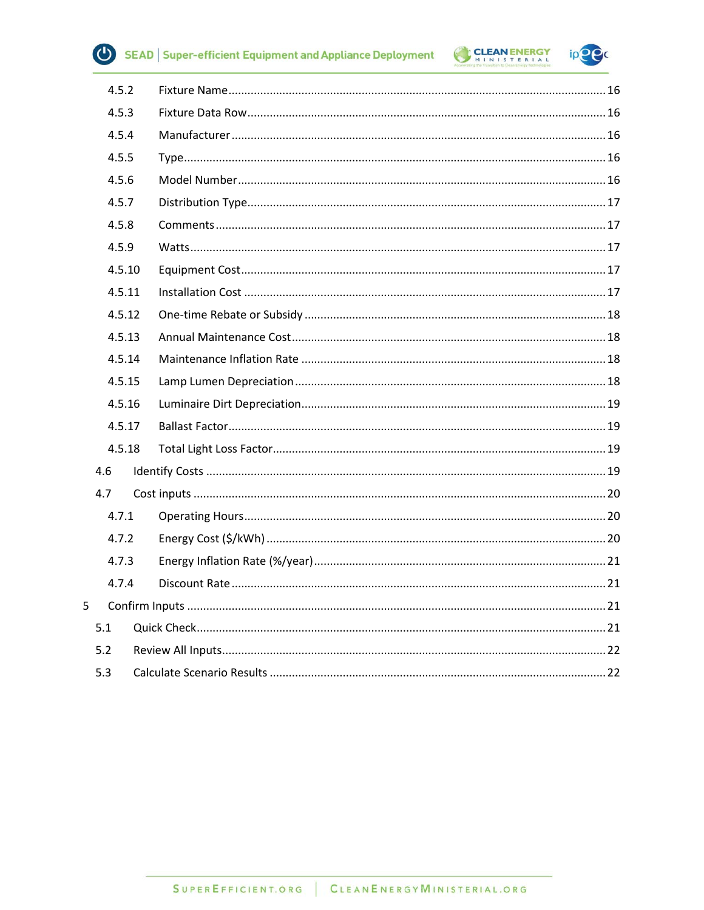

 $\overline{\mathbf{5}}$ 

SEAD | Super-efficient Equipment and Appliance Deployment



ip<sup>o</sup>c

|     | 4.5.2  |  |
|-----|--------|--|
|     | 4.5.3  |  |
|     | 4.5.4  |  |
|     | 4.5.5  |  |
|     | 4.5.6  |  |
|     | 4.5.7  |  |
|     | 4.5.8  |  |
|     | 4.5.9  |  |
|     | 4.5.10 |  |
|     | 4.5.11 |  |
|     | 4.5.12 |  |
|     | 4.5.13 |  |
|     | 4.5.14 |  |
|     | 4.5.15 |  |
|     | 4.5.16 |  |
|     | 4.5.17 |  |
|     | 4.5.18 |  |
| 4.6 |        |  |
| 4.7 |        |  |
|     | 4.7.1  |  |
|     | 4.7.2  |  |
|     | 4.7.3  |  |
|     | 4.7.4  |  |
|     |        |  |
| 5.1 |        |  |
| 5.2 |        |  |
| 5.3 |        |  |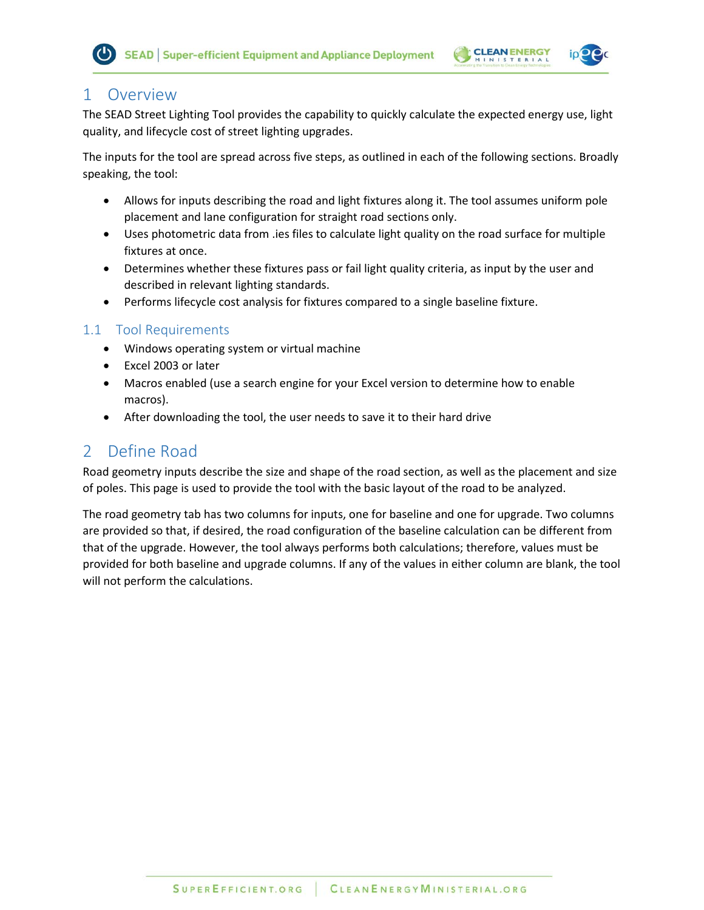



# <span id="page-3-0"></span>1 Overview

The SEAD Street Lighting Tool provides the capability to quickly calculate the expected energy use, light quality, and lifecycle cost of street lighting upgrades.

The inputs for the tool are spread across five steps, as outlined in each of the following sections. Broadly speaking, the tool:

- Allows for inputs describing the road and light fixtures along it. The tool assumes uniform pole placement and lane configuration for straight road sections only.
- Uses photometric data from .ies files to calculate light quality on the road surface for multiple fixtures at once.
- Determines whether these fixtures pass or fail light quality criteria, as input by the user and described in relevant lighting standards.
- Performs lifecycle cost analysis for fixtures compared to a single baseline fixture.

# <span id="page-3-1"></span>1.1 Tool Requirements

- Windows operating system or virtual machine
- Excel 2003 or later
- Macros enabled (use a search engine for your Excel version to determine how to enable macros).
- After downloading the tool, the user needs to save it to their hard drive

# <span id="page-3-2"></span>2 Define Road

Road geometry inputs describe the size and shape of the road section, as well as the placement and size of poles. This page is used to provide the tool with the basic layout of the road to be analyzed.

The road geometry tab has two columns for inputs, one for baseline and one for upgrade. Two columns are provided so that, if desired, the road configuration of the baseline calculation can be different from that of the upgrade. However, the tool always performs both calculations; therefore, values must be provided for both baseline and upgrade columns. If any of the values in either column are blank, the tool will not perform the calculations.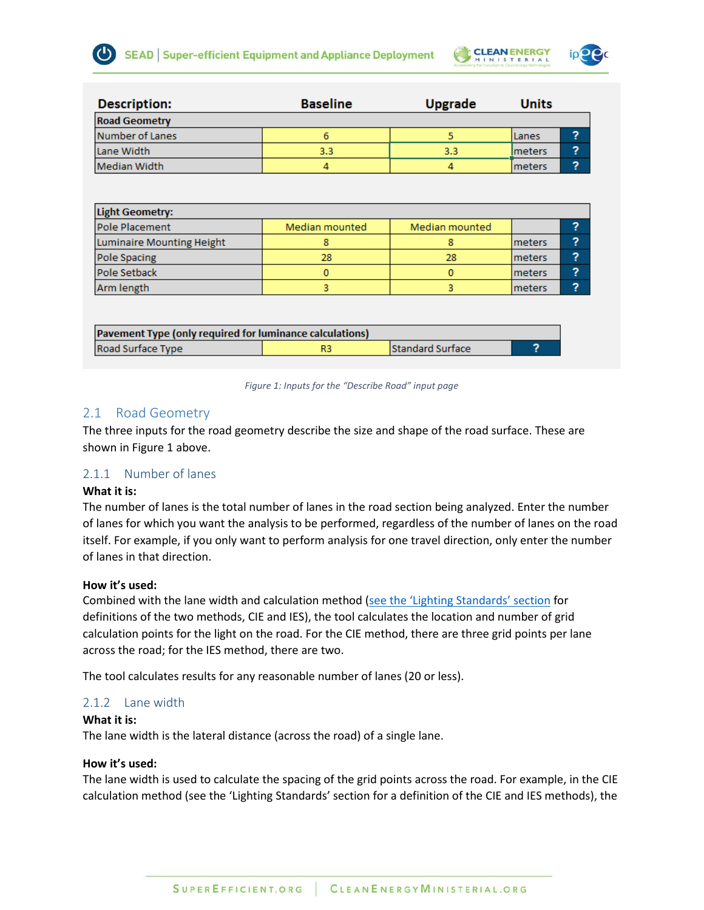

| <b>Description:</b>  | <b>Baseline</b> | <b>Upgrade</b> | <b>Units</b>   |   |
|----------------------|-----------------|----------------|----------------|---|
| <b>Road Geometry</b> |                 |                |                |   |
| Number of Lanes      |                 |                | l Lanes        | 2 |
| Lane Width           | 3.3             | 3.3            | <b>Imeters</b> | ? |
| Median Width         | 4               |                | <b>Imeters</b> | ? |

| Light Geometry:           |                |                |                |   |  |
|---------------------------|----------------|----------------|----------------|---|--|
| Pole Placement            | Median mounted | Median mounted |                | ∍ |  |
| Luminaire Mounting Height |                |                | <b>Imeters</b> | ∍ |  |
| Pole Spacing              | 28             | 28             | <b>Imeters</b> | っ |  |
| <b>Pole Setback</b>       |                |                | <b>Imeters</b> | っ |  |
| Arm length                |                |                | <b>Imeters</b> | ∍ |  |

| <b>Pavement Type (only required for luminance calculations)</b> |  |                         |  |  |
|-----------------------------------------------------------------|--|-------------------------|--|--|
| Road Surface Type                                               |  | <b>Standard Surface</b> |  |  |

#### *Figure 1: Inputs for the "Describe Road" input page*

# <span id="page-4-3"></span><span id="page-4-0"></span>2.1 Road Geometry

The three inputs for the road geometry describe the size and shape of the road surface. These are shown in [Figure 1](#page-4-3) above.

# <span id="page-4-1"></span>2.1.1 Number of lanes

# **What it is:**

The number of lanes is the total number of lanes in the road section being analyzed. Enter the number of lanes for which you want the analysis to be performed, regardless of the number of lanes on the road itself. For example, if you only want to perform analysis for one travel direction, only enter the number of lanes in that direction.

# **How it's used:**

Combined with the lane width and calculation method [\(see the 'Lighting Standards' section](#page-8-0) for definitions of the two methods, CIE and IES), the tool calculates the location and number of grid calculation points for the light on the road. For the CIE method, there are three grid points per lane across the road; for the IES method, there are two.

The tool calculates results for any reasonable number of lanes (20 or less).

# <span id="page-4-2"></span>2.1.2 Lane width

#### **What it is:**

The lane width is the lateral distance (across the road) of a single lane.

#### **How it's used:**

The lane width is used to calculate the spacing of the grid points across the road. For example, in the CIE calculation method (see the 'Lighting Standards' section for a definition of the CIE and IES methods), the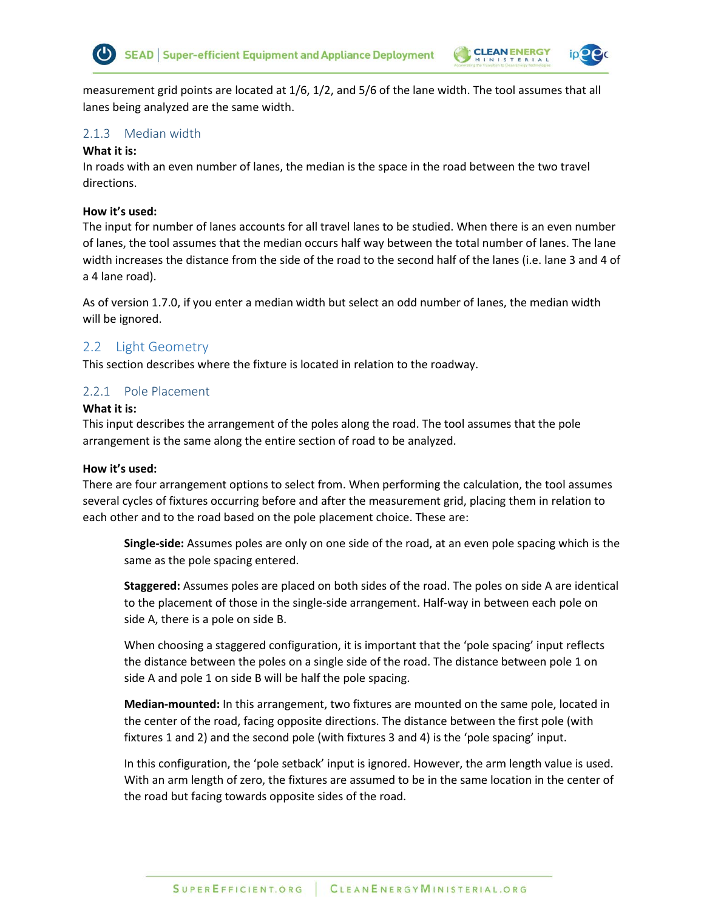



measurement grid points are located at 1/6, 1/2, and 5/6 of the lane width. The tool assumes that all lanes being analyzed are the same width.

### <span id="page-5-0"></span>2.1.3 Median width

#### **What it is:**

In roads with an even number of lanes, the median is the space in the road between the two travel directions.

#### **How it's used:**

The input for number of lanes accounts for all travel lanes to be studied. When there is an even number of lanes, the tool assumes that the median occurs half way between the total number of lanes. The lane width increases the distance from the side of the road to the second half of the lanes (i.e. lane 3 and 4 of a 4 lane road).

As of version 1.7.0, if you enter a median width but select an odd number of lanes, the median width will be ignored.

# <span id="page-5-1"></span>2.2 Light Geometry

This section describes where the fixture is located in relation to the roadway.

### <span id="page-5-2"></span>2.2.1 Pole Placement

#### **What it is:**

This input describes the arrangement of the poles along the road. The tool assumes that the pole arrangement is the same along the entire section of road to be analyzed.

#### **How it's used:**

There are four arrangement options to select from. When performing the calculation, the tool assumes several cycles of fixtures occurring before and after the measurement grid, placing them in relation to each other and to the road based on the pole placement choice. These are:

**Single-side:** Assumes poles are only on one side of the road, at an even pole spacing which is the same as the pole spacing entered.

**Staggered:** Assumes poles are placed on both sides of the road. The poles on side A are identical to the placement of those in the single-side arrangement. Half-way in between each pole on side A, there is a pole on side B.

When choosing a staggered configuration, it is important that the 'pole spacing' input reflects the distance between the poles on a single side of the road. The distance between pole 1 on side A and pole 1 on side B will be half the pole spacing.

**Median-mounted:** In this arrangement, two fixtures are mounted on the same pole, located in the center of the road, facing opposite directions. The distance between the first pole (with fixtures 1 and 2) and the second pole (with fixtures 3 and 4) is the 'pole spacing' input.

In this configuration, the 'pole setback' input is ignored. However, the arm length value is used. With an arm length of zero, the fixtures are assumed to be in the same location in the center of the road but facing towards opposite sides of the road.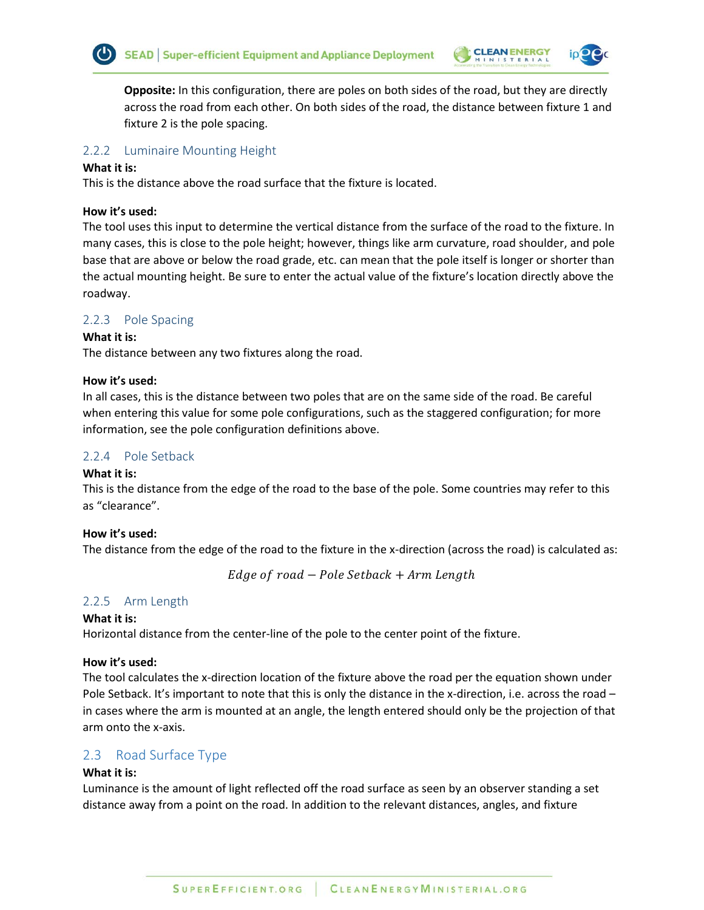

**Opposite:** In this configuration, there are poles on both sides of the road, but they are directly across the road from each other. On both sides of the road, the distance between fixture 1 and fixture 2 is the pole spacing.

# <span id="page-6-0"></span>2.2.2 Luminaire Mounting Height

### **What it is:**

This is the distance above the road surface that the fixture is located.

### **How it's used:**

The tool uses this input to determine the vertical distance from the surface of the road to the fixture. In many cases, this is close to the pole height; however, things like arm curvature, road shoulder, and pole base that are above or below the road grade, etc. can mean that the pole itself is longer or shorter than the actual mounting height. Be sure to enter the actual value of the fixture's location directly above the roadway.

# <span id="page-6-1"></span>2.2.3 Pole Spacing

# **What it is:**

The distance between any two fixtures along the road.

### **How it's used:**

In all cases, this is the distance between two poles that are on the same side of the road. Be careful when entering this value for some pole configurations, such as the staggered configuration; for more information, see the pole configuration definitions above.

# <span id="page-6-2"></span>2.2.4 Pole Setback

# **What it is:**

This is the distance from the edge of the road to the base of the pole. Some countries may refer to this as "clearance".

# **How it's used:**

The distance from the edge of the road to the fixture in the x-direction (across the road) is calculated as:

 $Edge of road - Pole Setback + Arm Length$ 

# <span id="page-6-3"></span>2.2.5 Arm Length

#### **What it is:**

Horizontal distance from the center-line of the pole to the center point of the fixture.

# **How it's used:**

The tool calculates the x-direction location of the fixture above the road per the equation shown under Pole Setback. It's important to note that this is only the distance in the x-direction, i.e. across the road – in cases where the arm is mounted at an angle, the length entered should only be the projection of that arm onto the x-axis.

# <span id="page-6-4"></span>2.3 Road Surface Type

# **What it is:**

Luminance is the amount of light reflected off the road surface as seen by an observer standing a set distance away from a point on the road. In addition to the relevant distances, angles, and fixture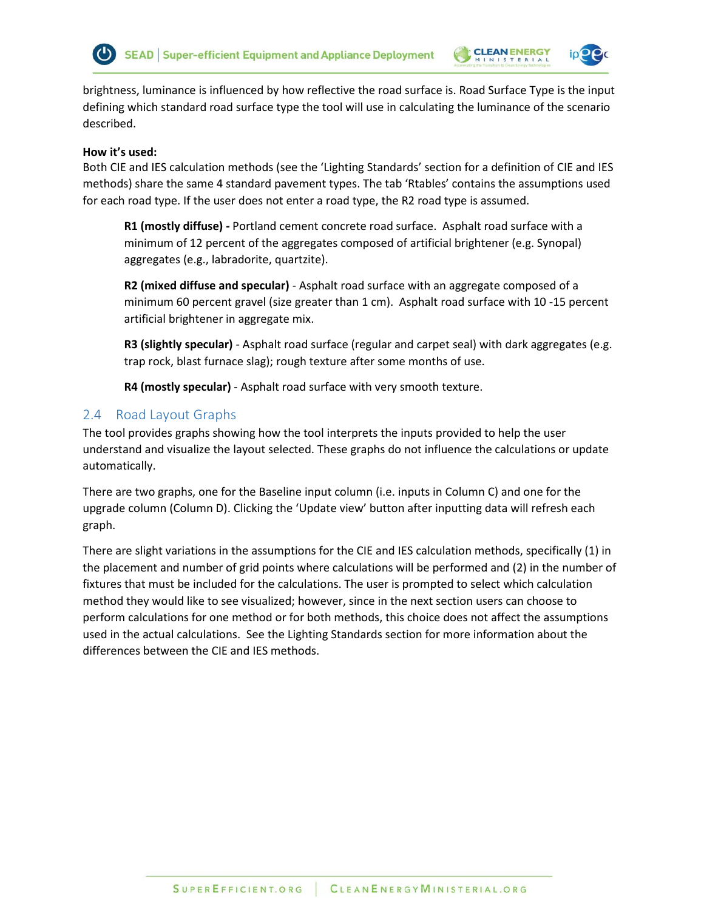



brightness, luminance is influenced by how reflective the road surface is. Road Surface Type is the input defining which standard road surface type the tool will use in calculating the luminance of the scenario described.

#### **How it's used:**

Both CIE and IES calculation methods (see the 'Lighting Standards' section for a definition of CIE and IES methods) share the same 4 standard pavement types. The tab 'Rtables' contains the assumptions used for each road type. If the user does not enter a road type, the R2 road type is assumed.

**R1 (mostly diffuse) -** Portland cement concrete road surface. Asphalt road surface with a minimum of 12 percent of the aggregates composed of artificial brightener (e.g. Synopal) aggregates (e.g., labradorite, quartzite).

**R2 (mixed diffuse and specular)** - Asphalt road surface with an aggregate composed of a minimum 60 percent gravel (size greater than 1 cm). Asphalt road surface with 10 -15 percent artificial brightener in aggregate mix.

**R3 (slightly specular)** - Asphalt road surface (regular and carpet seal) with dark aggregates (e.g. trap rock, blast furnace slag); rough texture after some months of use.

**R4 (mostly specular)** - Asphalt road surface with very smooth texture.

# <span id="page-7-0"></span>2.4 Road Layout Graphs

The tool provides graphs showing how the tool interprets the inputs provided to help the user understand and visualize the layout selected. These graphs do not influence the calculations or update automatically.

There are two graphs, one for the Baseline input column (i.e. inputs in Column C) and one for the upgrade column (Column D). Clicking the 'Update view' button after inputting data will refresh each graph.

There are slight variations in the assumptions for the CIE and IES calculation methods, specifically (1) in the placement and number of grid points where calculations will be performed and (2) in the number of fixtures that must be included for the calculations. The user is prompted to select which calculation method they would like to see visualized; however, since in the next section users can choose to perform calculations for one method or for both methods, this choice does not affect the assumptions used in the actual calculations. See the Lighting Standards section for more information about the differences between the CIE and IES methods.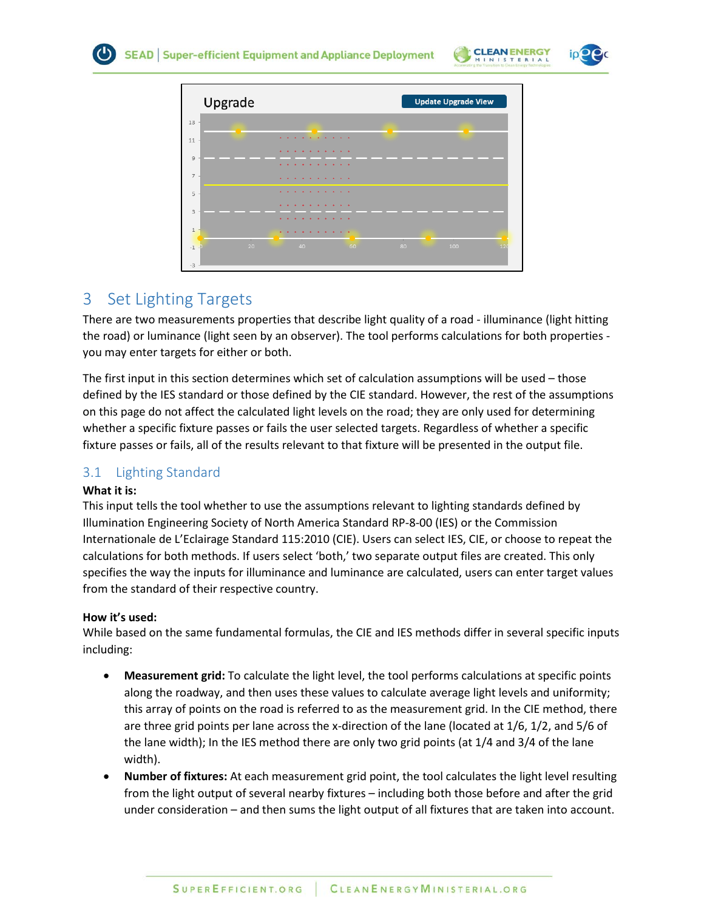





# <span id="page-8-0"></span>3 Set Lighting Targets

There are two measurements properties that describe light quality of a road - illuminance (light hitting the road) or luminance (light seen by an observer). The tool performs calculations for both properties you may enter targets for either or both.

The first input in this section determines which set of calculation assumptions will be used – those defined by the IES standard or those defined by the CIE standard. However, the rest of the assumptions on this page do not affect the calculated light levels on the road; they are only used for determining whether a specific fixture passes or fails the user selected targets. Regardless of whether a specific fixture passes or fails, all of the results relevant to that fixture will be presented in the output file.

# <span id="page-8-1"></span>3.1 Lighting Standard

# **What it is:**

This input tells the tool whether to use the assumptions relevant to lighting standards defined by Illumination Engineering Society of North America Standard RP-8-00 (IES) or the Commission Internationale de L'Eclairage Standard 115:2010 (CIE). Users can select IES, CIE, or choose to repeat the calculations for both methods. If users select 'both,' two separate output files are created. This only specifies the way the inputs for illuminance and luminance are calculated, users can enter target values from the standard of their respective country.

# **How it's used:**

While based on the same fundamental formulas, the CIE and IES methods differ in several specific inputs including:

- **Measurement grid:** To calculate the light level, the tool performs calculations at specific points along the roadway, and then uses these values to calculate average light levels and uniformity; this array of points on the road is referred to as the measurement grid. In the CIE method, there are three grid points per lane across the x-direction of the lane (located at 1/6, 1/2, and 5/6 of the lane width); In the IES method there are only two grid points (at 1/4 and 3/4 of the lane width).
- **Number of fixtures:** At each measurement grid point, the tool calculates the light level resulting from the light output of several nearby fixtures – including both those before and after the grid under consideration – and then sums the light output of all fixtures that are taken into account.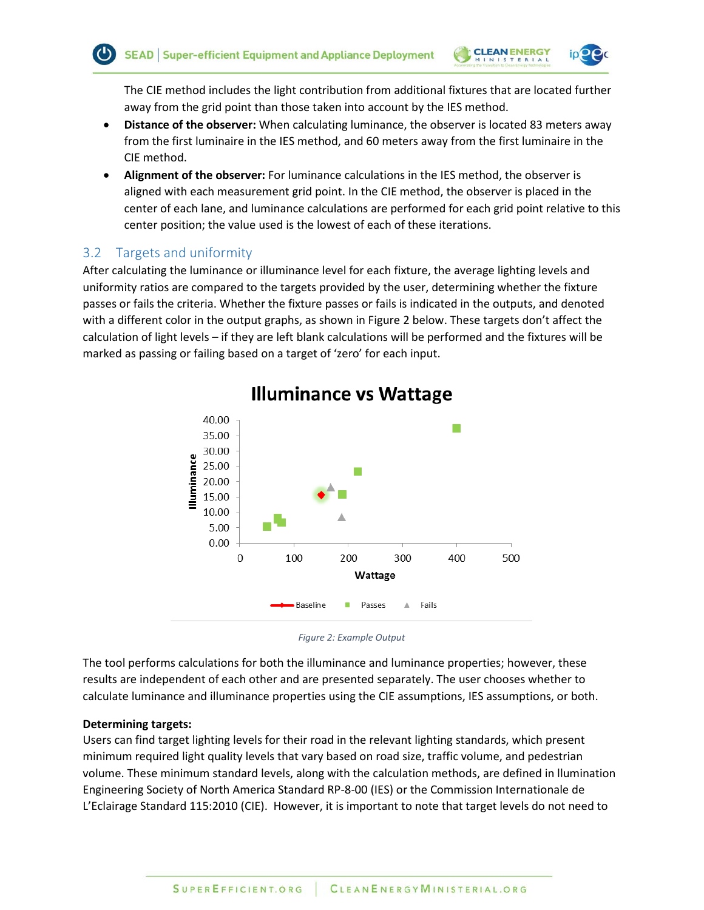**CLEAN ENERGY** 

The CIE method includes the light contribution from additional fixtures that are located further away from the grid point than those taken into account by the IES method.

- **Distance of the observer:** When calculating luminance, the observer is located 83 meters away from the first luminaire in the IES method, and 60 meters away from the first luminaire in the CIE method.
- **Alignment of the observer:** For luminance calculations in the IES method, the observer is aligned with each measurement grid point. In the CIE method, the observer is placed in the center of each lane, and luminance calculations are performed for each grid point relative to this center position; the value used is the lowest of each of these iterations.

# <span id="page-9-0"></span>3.2 Targets and uniformity

After calculating the luminance or illuminance level for each fixture, the average lighting levels and uniformity ratios are compared to the targets provided by the user, determining whether the fixture passes or fails the criteria. Whether the fixture passes or fails is indicated in the outputs, and denoted with a different color in the output graphs, as shown in [Figure 2](#page-9-1) [below.](#page-9-1) These targets don't affect the calculation of light levels – if they are left blank calculations will be performed and the fixtures will be marked as passing or failing based on a target of 'zero' for each input.



# **Illuminance vs Wattage**

*Figure 2: Example Output*

<span id="page-9-1"></span>The tool performs calculations for both the illuminance and luminance properties; however, these results are independent of each other and are presented separately. The user chooses whether to calculate luminance and illuminance properties using the CIE assumptions, IES assumptions, or both.

#### **Determining targets:**

Users can find target lighting levels for their road in the relevant lighting standards, which present minimum required light quality levels that vary based on road size, traffic volume, and pedestrian volume. These minimum standard levels, along with the calculation methods, are defined in llumination Engineering Society of North America Standard RP-8-00 (IES) or the Commission Internationale de L'Eclairage Standard 115:2010 (CIE). However, it is important to note that target levels do not need to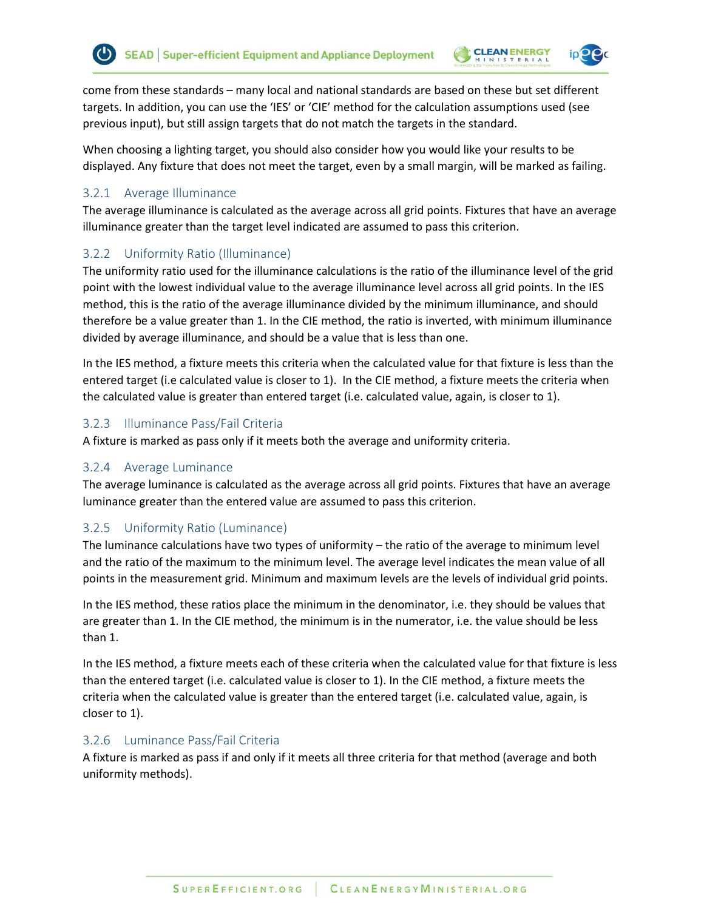come from these standards – many local and national standards are based on these but set different targets. In addition, you can use the 'IES' or 'CIE' method for the calculation assumptions used (see previous input), but still assign targets that do not match the targets in the standard.

**CLEAN ENERGY** 

When choosing a lighting target, you should also consider how you would like your results to be displayed. Any fixture that does not meet the target, even by a small margin, will be marked as failing.

# <span id="page-10-0"></span>3.2.1 Average Illuminance

The average illuminance is calculated as the average across all grid points. Fixtures that have an average illuminance greater than the target level indicated are assumed to pass this criterion.

# <span id="page-10-1"></span>3.2.2 Uniformity Ratio (Illuminance)

The uniformity ratio used for the illuminance calculations is the ratio of the illuminance level of the grid point with the lowest individual value to the average illuminance level across all grid points. In the IES method, this is the ratio of the average illuminance divided by the minimum illuminance, and should therefore be a value greater than 1. In the CIE method, the ratio is inverted, with minimum illuminance divided by average illuminance, and should be a value that is less than one.

In the IES method, a fixture meets this criteria when the calculated value for that fixture is less than the entered target (i.e calculated value is closer to 1). In the CIE method, a fixture meets the criteria when the calculated value is greater than entered target (i.e. calculated value, again, is closer to 1).

# <span id="page-10-2"></span>3.2.3 Illuminance Pass/Fail Criteria

A fixture is marked as pass only if it meets both the average and uniformity criteria.

# <span id="page-10-3"></span>3.2.4 Average Luminance

The average luminance is calculated as the average across all grid points. Fixtures that have an average luminance greater than the entered value are assumed to pass this criterion.

# <span id="page-10-4"></span>3.2.5 Uniformity Ratio (Luminance)

The luminance calculations have two types of uniformity – the ratio of the average to minimum level and the ratio of the maximum to the minimum level. The average level indicates the mean value of all points in the measurement grid. Minimum and maximum levels are the levels of individual grid points.

In the IES method, these ratios place the minimum in the denominator, i.e. they should be values that are greater than 1. In the CIE method, the minimum is in the numerator, i.e. the value should be less than 1.

In the IES method, a fixture meets each of these criteria when the calculated value for that fixture is less than the entered target (i.e. calculated value is closer to 1). In the CIE method, a fixture meets the criteria when the calculated value is greater than the entered target (i.e. calculated value, again, is closer to 1).

# <span id="page-10-5"></span>3.2.6 Luminance Pass/Fail Criteria

A fixture is marked as pass if and only if it meets all three criteria for that method (average and both uniformity methods).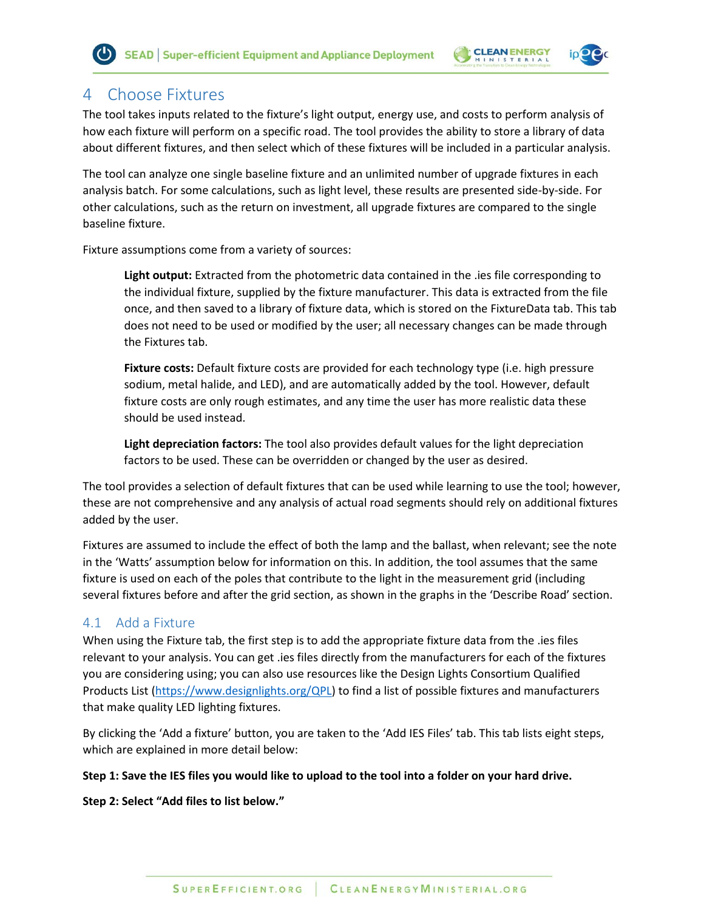

# <span id="page-11-0"></span>4 Choose Fixtures

The tool takes inputs related to the fixture's light output, energy use, and costs to perform analysis of how each fixture will perform on a specific road. The tool provides the ability to store a library of data about different fixtures, and then select which of these fixtures will be included in a particular analysis.

The tool can analyze one single baseline fixture and an unlimited number of upgrade fixtures in each analysis batch. For some calculations, such as light level, these results are presented side-by-side. For other calculations, such as the return on investment, all upgrade fixtures are compared to the single baseline fixture.

Fixture assumptions come from a variety of sources:

**Light output:** Extracted from the photometric data contained in the .ies file corresponding to the individual fixture, supplied by the fixture manufacturer. This data is extracted from the file once, and then saved to a library of fixture data, which is stored on the FixtureData tab. This tab does not need to be used or modified by the user; all necessary changes can be made through the Fixtures tab.

**Fixture costs:** Default fixture costs are provided for each technology type (i.e. high pressure sodium, metal halide, and LED), and are automatically added by the tool. However, default fixture costs are only rough estimates, and any time the user has more realistic data these should be used instead.

**Light depreciation factors:** The tool also provides default values for the light depreciation factors to be used. These can be overridden or changed by the user as desired.

The tool provides a selection of default fixtures that can be used while learning to use the tool; however, these are not comprehensive and any analysis of actual road segments should rely on additional fixtures added by the user.

Fixtures are assumed to include the effect of both the lamp and the ballast, when relevant; see the note in the 'Watts' assumption below for information on this. In addition, the tool assumes that the same fixture is used on each of the poles that contribute to the light in the measurement grid (including several fixtures before and after the grid section, as shown in the graphs in the 'Describe Road' section.

# <span id="page-11-1"></span>4.1 Add a Fixture

When using the Fixture tab, the first step is to add the appropriate fixture data from the .ies files relevant to your analysis. You can get .ies files directly from the manufacturers for each of the fixtures you are considering using; you can also use resources like the Design Lights Consortium Qualified Products List [\(https://www.designlights.org/QPL\)](https://www.designlights.org/QPL) to find a list of possible fixtures and manufacturers that make quality LED lighting fixtures.

By clicking the 'Add a fixture' button, you are taken to the 'Add IES Files' tab. This tab lists eight steps, which are explained in more detail below:

#### **Step 1: Save the IES files you would like to upload to the tool into a folder on your hard drive.**

**Step 2: Select "Add files to list below."**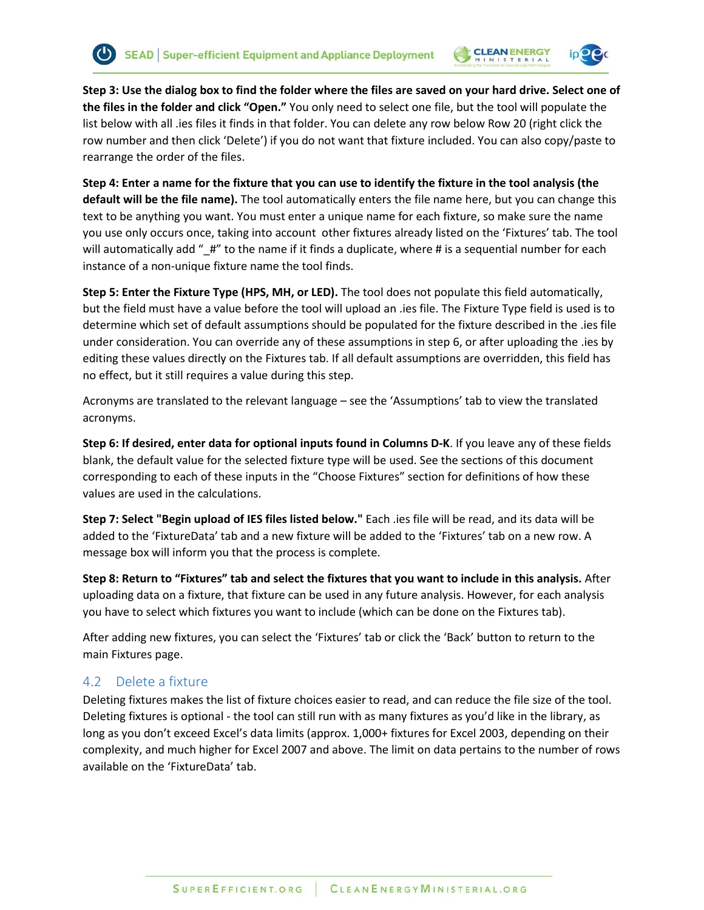



**Step 3: Use the dialog box to find the folder where the files are saved on your hard drive. Select one of the files in the folder and click "Open."** You only need to select one file, but the tool will populate the list below with all .ies files it finds in that folder. You can delete any row below Row 20 (right click the row number and then click 'Delete') if you do not want that fixture included. You can also copy/paste to rearrange the order of the files.

**Step 4: Enter a name for the fixture that you can use to identify the fixture in the tool analysis (the default will be the file name).** The tool automatically enters the file name here, but you can change this text to be anything you want. You must enter a unique name for each fixture, so make sure the name you use only occurs once, taking into account other fixtures already listed on the 'Fixtures' tab. The tool will automatically add "\_#" to the name if it finds a duplicate, where # is a sequential number for each instance of a non-unique fixture name the tool finds.

**Step 5: Enter the Fixture Type (HPS, MH, or LED).** The tool does not populate this field automatically, but the field must have a value before the tool will upload an .ies file. The Fixture Type field is used is to determine which set of default assumptions should be populated for the fixture described in the .ies file under consideration. You can override any of these assumptions in step 6, or after uploading the .ies by editing these values directly on the Fixtures tab. If all default assumptions are overridden, this field has no effect, but it still requires a value during this step.

Acronyms are translated to the relevant language – see the 'Assumptions' tab to view the translated acronyms.

**Step 6: If desired, enter data for optional inputs found in Columns D-K**. If you leave any of these fields blank, the default value for the selected fixture type will be used. See the sections of this document corresponding to each of these inputs in the "Choose Fixtures" section for definitions of how these values are used in the calculations.

**Step 7: Select "Begin upload of IES files listed below."** Each .ies file will be read, and its data will be added to the 'FixtureData' tab and a new fixture will be added to the 'Fixtures' tab on a new row. A message box will inform you that the process is complete.

**Step 8: Return to "Fixtures" tab and select the fixtures that you want to include in this analysis.** After uploading data on a fixture, that fixture can be used in any future analysis. However, for each analysis you have to select which fixtures you want to include (which can be done on the Fixtures tab).

After adding new fixtures, you can select the 'Fixtures' tab or click the 'Back' button to return to the main Fixtures page.

# <span id="page-12-0"></span>4.2 Delete a fixture

Deleting fixtures makes the list of fixture choices easier to read, and can reduce the file size of the tool. Deleting fixtures is optional - the tool can still run with as many fixtures as you'd like in the library, as long as you don't exceed Excel's data limits (approx. 1,000+ fixtures for Excel 2003, depending on their complexity, and much higher for Excel 2007 and above. The limit on data pertains to the number of rows available on the 'FixtureData' tab.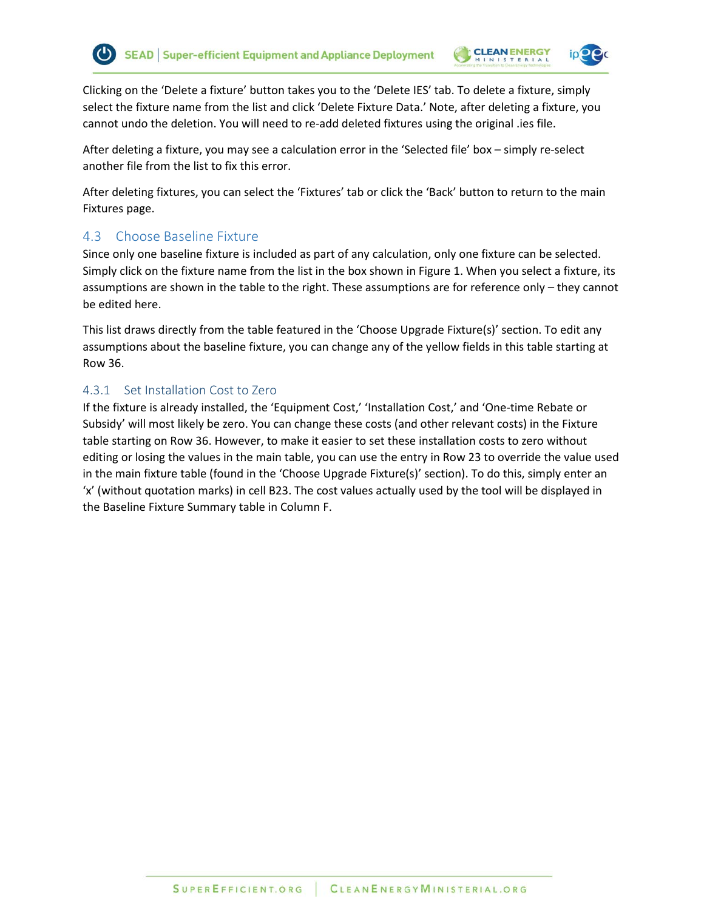

Clicking on the 'Delete a fixture' button takes you to the 'Delete IES' tab. To delete a fixture, simply select the fixture name from the list and click 'Delete Fixture Data.' Note, after deleting a fixture, you cannot undo the deletion. You will need to re-add deleted fixtures using the original .ies file.

**CLEAN ENERGY** 

After deleting a fixture, you may see a calculation error in the 'Selected file' box – simply re-select another file from the list to fix this error.

After deleting fixtures, you can select the 'Fixtures' tab or click the 'Back' button to return to the main Fixtures page.

# <span id="page-13-0"></span>4.3 Choose Baseline Fixture

Since only one baseline fixture is included as part of any calculation, only one fixture can be selected. Simply click on the fixture name from the list in the box shown in [Figure 1.](#page-14-3) When you select a fixture, its assumptions are shown in the table to the right. These assumptions are for reference only – they cannot be edited here.

This list draws directly from the table featured in the 'Choose Upgrade Fixture(s)' section. To edit any assumptions about the baseline fixture, you can change any of the yellow fields in this table starting at Row 36.

# <span id="page-13-1"></span>4.3.1 Set Installation Cost to Zero

If the fixture is already installed, the 'Equipment Cost,' 'Installation Cost,' and 'One-time Rebate or Subsidy' will most likely be zero. You can change these costs (and other relevant costs) in the Fixture table starting on Row 36. However, to make it easier to set these installation costs to zero without editing or losing the values in the main table, you can use the entry in Row 23 to override the value used in the main fixture table (found in the 'Choose Upgrade Fixture(s)' section). To do this, simply enter an 'x' (without quotation marks) in cell B23. The cost values actually used by the tool will be displayed in the Baseline Fixture Summary table in Column F.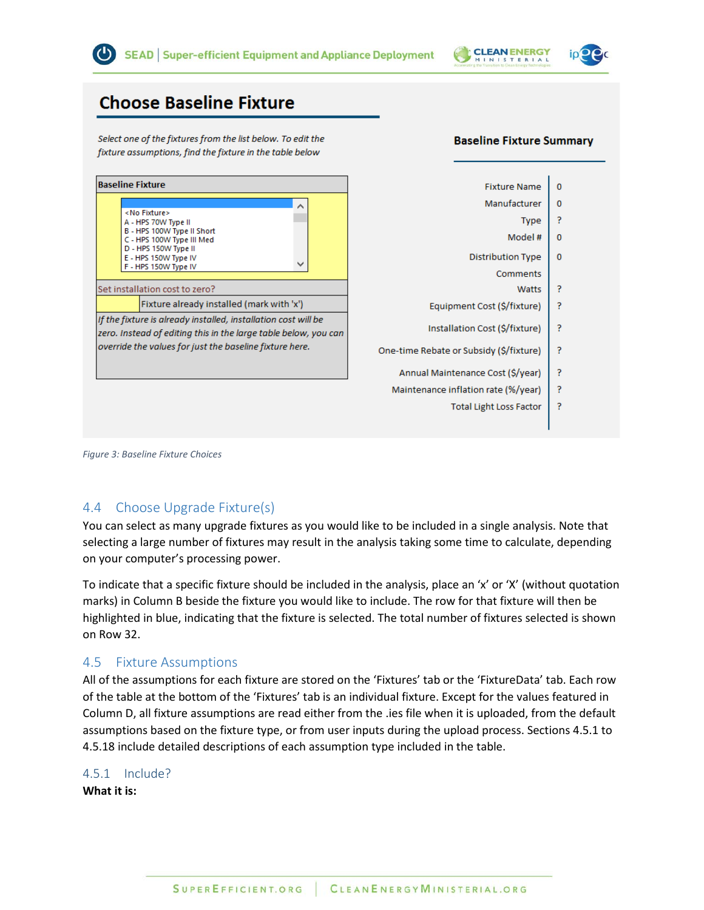

**Baseline Fixture Summary** 

 $\mathbf{0}$ 

 $\pmb{0}$ P

 $\mathbf 0$ 

 $\mathbf{0}$ 

P P

P

<sup>?</sup>

P P

P

# **Choose Baseline Fixture**

Select one of the fixtures from the list below. To edit the fixture assumptions, find the fixture in the table below

|                                                                                                                                   | <b>Baseline Fixture</b>                                              |                                         |                                | <b>Fixture Name</b>                         |
|-----------------------------------------------------------------------------------------------------------------------------------|----------------------------------------------------------------------|-----------------------------------------|--------------------------------|---------------------------------------------|
|                                                                                                                                   |                                                                      | ㅅ                                       |                                | Manufacturer                                |
|                                                                                                                                   | <no fixture=""><br/>A - HPS 70W Type II</no>                         |                                         |                                | <b>Type</b>                                 |
|                                                                                                                                   | B - HPS 100W Type II Short<br>C - HPS 100W Type III Med              |                                         |                                | Model #                                     |
|                                                                                                                                   | D - HPS 150W Type II<br>E - HPS 150W Type IV<br>F - HPS 150W Type IV |                                         |                                | <b>Distribution Type</b><br><b>Comments</b> |
|                                                                                                                                   | Set installation cost to zero?                                       |                                         | Watts                          |                                             |
|                                                                                                                                   | Fixture already installed (mark with 'x')                            |                                         |                                | Equipment Cost (\$/fixture)                 |
| If the fixture is already installed, installation cost will be<br>zero. Instead of editing this in the large table below, you can |                                                                      |                                         | Installation Cost (\$/fixture) |                                             |
| override the values for just the baseline fixture here.                                                                           |                                                                      | One-time Rebate or Subsidy (\$/fixture) |                                |                                             |
|                                                                                                                                   |                                                                      |                                         |                                | Annual Maintenance Cost (\$/year)           |
|                                                                                                                                   |                                                                      |                                         |                                | Maintenance inflation rate (%/year)         |
|                                                                                                                                   |                                                                      |                                         |                                |                                             |

<span id="page-14-3"></span>*Figure 3: Baseline Fixture Choices*

# <span id="page-14-0"></span>4.4 Choose Upgrade Fixture(s)

You can select as many upgrade fixtures as you would like to be included in a single analysis. Note that selecting a large number of fixtures may result in the analysis taking some time to calculate, depending on your computer's processing power.

To indicate that a specific fixture should be included in the analysis, place an 'x' or 'X' (without quotation marks) in Column B beside the fixture you would like to include. The row for that fixture will then be highlighted in blue, indicating that the fixture is selected. The total number of fixtures selected is shown on Row 32.

# <span id="page-14-1"></span>4.5 Fixture Assumptions

All of the assumptions for each fixture are stored on the 'Fixtures' tab or the 'FixtureData' tab. Each row of the table at the bottom of the 'Fixtures' tab is an individual fixture. Except for the values featured in Column D, all fixture assumptions are read either from the .ies file when it is uploaded, from the default assumptions based on the fixture type, or from user inputs during the upload process. Sections 4.5.1 to 4.5.18 include detailed descriptions of each assumption type included in the table.

# <span id="page-14-2"></span>4.5.1 Include?

**What it is:**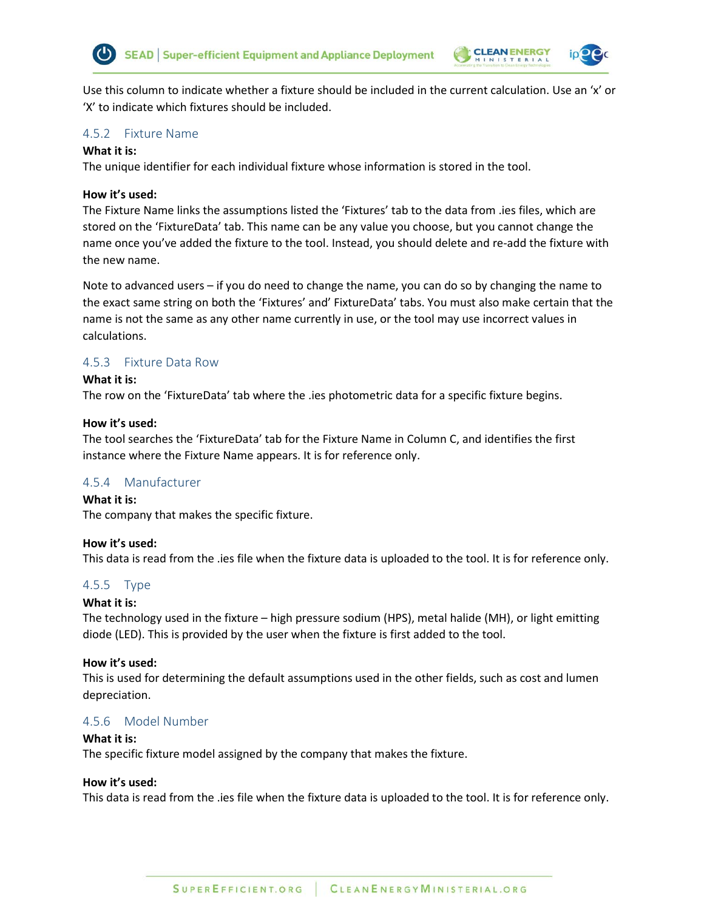



Use this column to indicate whether a fixture should be included in the current calculation. Use an 'x' or 'X' to indicate which fixtures should be included.

#### <span id="page-15-0"></span>4.5.2 Fixture Name

#### **What it is:**

The unique identifier for each individual fixture whose information is stored in the tool.

#### **How it's used:**

The Fixture Name links the assumptions listed the 'Fixtures' tab to the data from .ies files, which are stored on the 'FixtureData' tab. This name can be any value you choose, but you cannot change the name once you've added the fixture to the tool. Instead, you should delete and re-add the fixture with the new name.

Note to advanced users – if you do need to change the name, you can do so by changing the name to the exact same string on both the 'Fixtures' and' FixtureData' tabs. You must also make certain that the name is not the same as any other name currently in use, or the tool may use incorrect values in calculations.

### <span id="page-15-1"></span>4.5.3 Fixture Data Row

#### **What it is:**

The row on the 'FixtureData' tab where the .ies photometric data for a specific fixture begins.

#### **How it's used:**

The tool searches the 'FixtureData' tab for the Fixture Name in Column C, and identifies the first instance where the Fixture Name appears. It is for reference only.

#### <span id="page-15-2"></span>4.5.4 Manufacturer

**What it is:**  The company that makes the specific fixture.

#### **How it's used:**

This data is read from the .ies file when the fixture data is uploaded to the tool. It is for reference only.

#### <span id="page-15-3"></span>4.5.5 Type

#### **What it is:**

The technology used in the fixture – high pressure sodium (HPS), metal halide (MH), or light emitting diode (LED). This is provided by the user when the fixture is first added to the tool.

#### **How it's used:**

This is used for determining the default assumptions used in the other fields, such as cost and lumen depreciation.

#### <span id="page-15-4"></span>4.5.6 Model Number

#### **What it is:**

The specific fixture model assigned by the company that makes the fixture.

#### **How it's used:**

This data is read from the .ies file when the fixture data is uploaded to the tool. It is for reference only.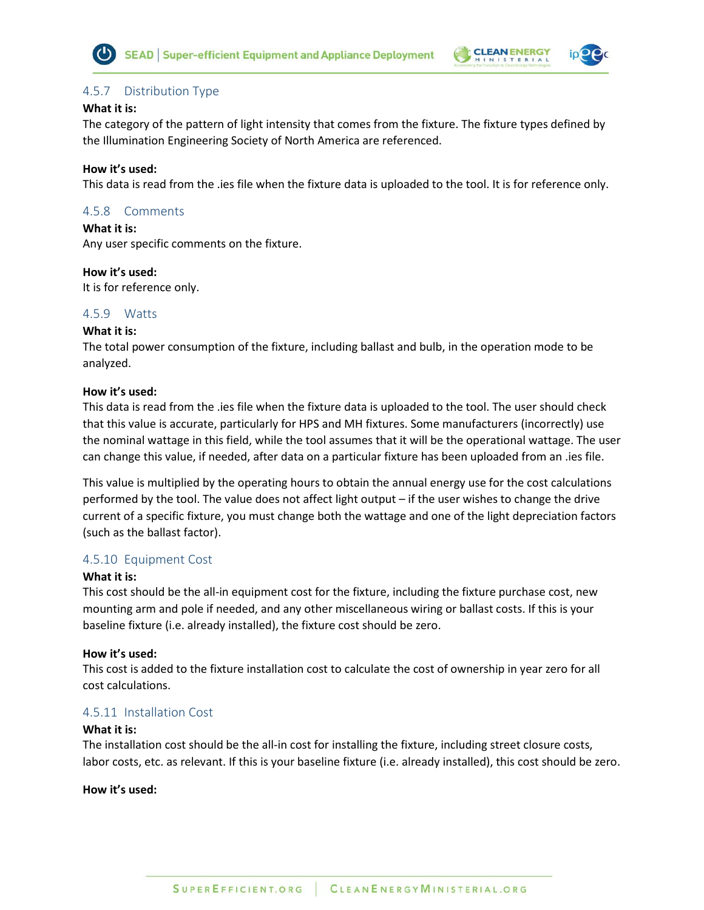



# <span id="page-16-0"></span>4.5.7 Distribution Type

#### **What it is:**

The category of the pattern of light intensity that comes from the fixture. The fixture types defined by the Illumination Engineering Society of North America are referenced.

### **How it's used:**

This data is read from the .ies file when the fixture data is uploaded to the tool. It is for reference only.

# <span id="page-16-1"></span>4.5.8 Comments

**What it is:** 

Any user specific comments on the fixture.

### **How it's used:**

It is for reference only.

# <span id="page-16-2"></span>4.5.9 Watts

# **What it is:**

The total power consumption of the fixture, including ballast and bulb, in the operation mode to be analyzed.

### **How it's used:**

This data is read from the .ies file when the fixture data is uploaded to the tool. The user should check that this value is accurate, particularly for HPS and MH fixtures. Some manufacturers (incorrectly) use the nominal wattage in this field, while the tool assumes that it will be the operational wattage. The user can change this value, if needed, after data on a particular fixture has been uploaded from an .ies file.

This value is multiplied by the operating hours to obtain the annual energy use for the cost calculations performed by the tool. The value does not affect light output – if the user wishes to change the drive current of a specific fixture, you must change both the wattage and one of the light depreciation factors (such as the ballast factor).

# <span id="page-16-3"></span>4.5.10 Equipment Cost

# **What it is:**

This cost should be the all-in equipment cost for the fixture, including the fixture purchase cost, new mounting arm and pole if needed, and any other miscellaneous wiring or ballast costs. If this is your baseline fixture (i.e. already installed), the fixture cost should be zero.

#### **How it's used:**

This cost is added to the fixture installation cost to calculate the cost of ownership in year zero for all cost calculations.

# <span id="page-16-4"></span>4.5.11 Installation Cost

#### **What it is:**

The installation cost should be the all-in cost for installing the fixture, including street closure costs, labor costs, etc. as relevant. If this is your baseline fixture (i.e. already installed), this cost should be zero.

### **How it's used:**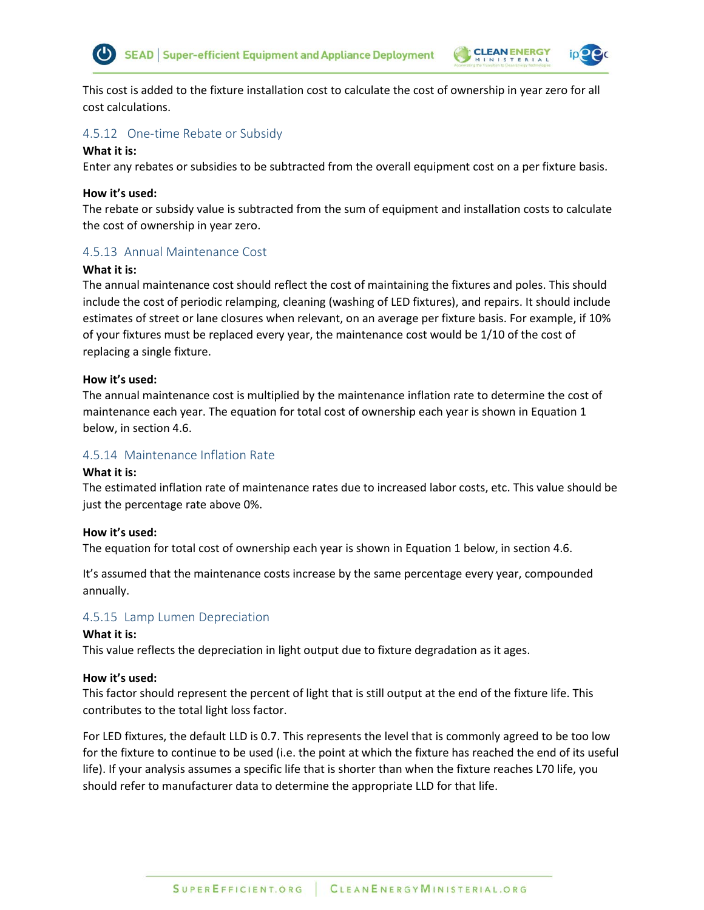



This cost is added to the fixture installation cost to calculate the cost of ownership in year zero for all cost calculations.

#### <span id="page-17-0"></span>4.5.12 One-time Rebate or Subsidy

#### **What it is:**

Enter any rebates or subsidies to be subtracted from the overall equipment cost on a per fixture basis.

#### **How it's used:**

The rebate or subsidy value is subtracted from the sum of equipment and installation costs to calculate the cost of ownership in year zero.

### <span id="page-17-1"></span>4.5.13 Annual Maintenance Cost

#### **What it is:**

The annual maintenance cost should reflect the cost of maintaining the fixtures and poles. This should include the cost of periodic relamping, cleaning (washing of LED fixtures), and repairs. It should include estimates of street or lane closures when relevant, on an average per fixture basis. For example, if 10% of your fixtures must be replaced every year, the maintenance cost would be 1/10 of the cost of replacing a single fixture.

#### **How it's used:**

The annual maintenance cost is multiplied by the maintenance inflation rate to determine the cost of maintenance each year. The equation for total cost of ownership each year is shown in [Equation 1](#page-19-3) below, in section 4.6.

#### <span id="page-17-2"></span>4.5.14 Maintenance Inflation Rate

#### **What it is:**

The estimated inflation rate of maintenance rates due to increased labor costs, etc. This value should be just the percentage rate above 0%.

#### **How it's used:**

The equation for total cost of ownership each year is shown i[n Equation 1](#page-19-3) below, in section 4.6.

It's assumed that the maintenance costs increase by the same percentage every year, compounded annually.

#### <span id="page-17-3"></span>4.5.15 Lamp Lumen Depreciation

#### **What it is:**

This value reflects the depreciation in light output due to fixture degradation as it ages.

#### **How it's used:**

This factor should represent the percent of light that is still output at the end of the fixture life. This contributes to the total light loss factor.

For LED fixtures, the default LLD is 0.7. This represents the level that is commonly agreed to be too low for the fixture to continue to be used (i.e. the point at which the fixture has reached the end of its useful life). If your analysis assumes a specific life that is shorter than when the fixture reaches L70 life, you should refer to manufacturer data to determine the appropriate LLD for that life.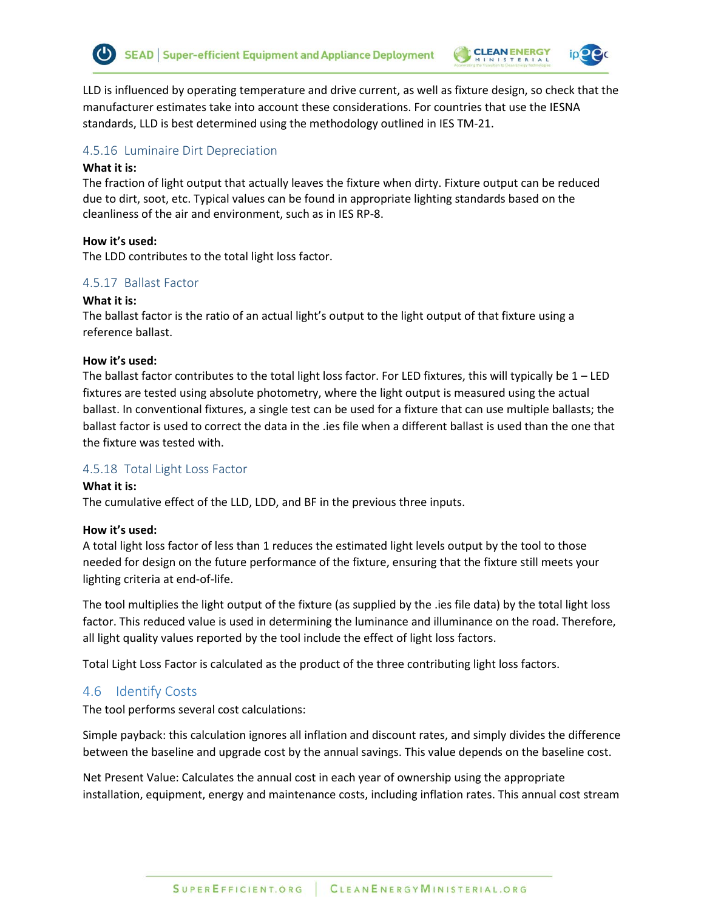

LLD is influenced by operating temperature and drive current, as well as fixture design, so check that the manufacturer estimates take into account these considerations. For countries that use the IESNA standards, LLD is best determined using the methodology outlined in IES TM-21.

### <span id="page-18-0"></span>4.5.16 Luminaire Dirt Depreciation

#### **What it is:**

The fraction of light output that actually leaves the fixture when dirty. Fixture output can be reduced due to dirt, soot, etc. Typical values can be found in appropriate lighting standards based on the cleanliness of the air and environment, such as in IES RP-8.

#### **How it's used:**

The LDD contributes to the total light loss factor.

### <span id="page-18-1"></span>4.5.17 Ballast Factor

#### **What it is:**

The ballast factor is the ratio of an actual light's output to the light output of that fixture using a reference ballast.

#### **How it's used:**

The ballast factor contributes to the total light loss factor. For LED fixtures, this will typically be  $1 -$  LED fixtures are tested using absolute photometry, where the light output is measured using the actual ballast. In conventional fixtures, a single test can be used for a fixture that can use multiple ballasts; the ballast factor is used to correct the data in the .ies file when a different ballast is used than the one that the fixture was tested with.

#### <span id="page-18-2"></span>4.5.18 Total Light Loss Factor

#### **What it is:**

The cumulative effect of the LLD, LDD, and BF in the previous three inputs.

#### **How it's used:**

A total light loss factor of less than 1 reduces the estimated light levels output by the tool to those needed for design on the future performance of the fixture, ensuring that the fixture still meets your lighting criteria at end-of-life.

The tool multiplies the light output of the fixture (as supplied by the .ies file data) by the total light loss factor. This reduced value is used in determining the luminance and illuminance on the road. Therefore, all light quality values reported by the tool include the effect of light loss factors.

Total Light Loss Factor is calculated as the product of the three contributing light loss factors.

# <span id="page-18-3"></span>4.6 Identify Costs

The tool performs several cost calculations:

Simple payback: this calculation ignores all inflation and discount rates, and simply divides the difference between the baseline and upgrade cost by the annual savings. This value depends on the baseline cost.

Net Present Value: Calculates the annual cost in each year of ownership using the appropriate installation, equipment, energy and maintenance costs, including inflation rates. This annual cost stream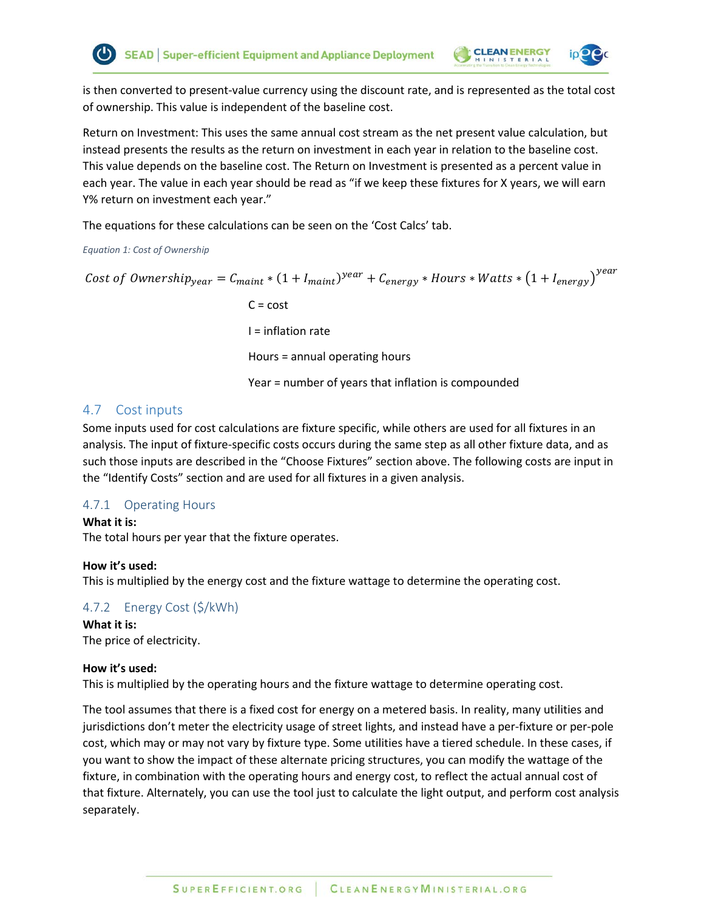

is then converted to present-value currency using the discount rate, and is represented as the total cost of ownership. This value is independent of the baseline cost.

Return on Investment: This uses the same annual cost stream as the net present value calculation, but instead presents the results as the return on investment in each year in relation to the baseline cost. This value depends on the baseline cost. The Return on Investment is presented as a percent value in each year. The value in each year should be read as "if we keep these fixtures for X years, we will earn Y% return on investment each year."

The equations for these calculations can be seen on the 'Cost Calcs' tab.

### <span id="page-19-3"></span>*Equation 1: Cost of Ownership*

Cost of Ownership $_{year} = C_{maint} * (1 + I_{maint})^{year} + C_{energy} * Hours * Watts * (1 + I_{energy})^{year}$  $C = cost$ I = inflation rate Hours = annual operating hours Year = number of years that inflation is compounded

# <span id="page-19-0"></span>4.7 Cost inputs

Some inputs used for cost calculations are fixture specific, while others are used for all fixtures in an analysis. The input of fixture-specific costs occurs during the same step as all other fixture data, and as such those inputs are described in the "Choose Fixtures" section above. The following costs are input in the "Identify Costs" section and are used for all fixtures in a given analysis.

# <span id="page-19-1"></span>4.7.1 Operating Hours

**What it is:** 

The total hours per year that the fixture operates.

# **How it's used:**

This is multiplied by the energy cost and the fixture wattage to determine the operating cost.

# <span id="page-19-2"></span>4.7.2 Energy Cost (\$/kWh)

**What it is:**  The price of electricity.

# **How it's used:**

This is multiplied by the operating hours and the fixture wattage to determine operating cost.

The tool assumes that there is a fixed cost for energy on a metered basis. In reality, many utilities and jurisdictions don't meter the electricity usage of street lights, and instead have a per-fixture or per-pole cost, which may or may not vary by fixture type. Some utilities have a tiered schedule. In these cases, if you want to show the impact of these alternate pricing structures, you can modify the wattage of the fixture, in combination with the operating hours and energy cost, to reflect the actual annual cost of that fixture. Alternately, you can use the tool just to calculate the light output, and perform cost analysis separately.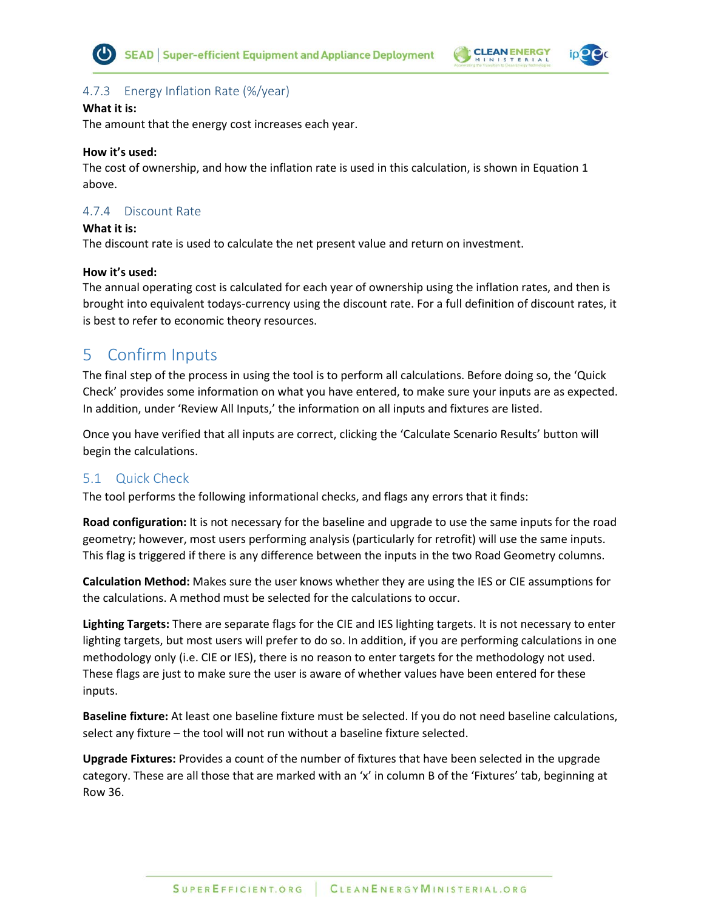





# <span id="page-20-0"></span>4.7.3 Energy Inflation Rate (%/year)

#### **What it is:**

The amount that the energy cost increases each year.

#### **How it's used:**

The cost of ownership, and how the inflation rate is used in this calculation, is shown i[n Equation 1](#page-19-3) [above.](#page-19-3)

# <span id="page-20-1"></span>4.7.4 Discount Rate

#### **What it is:**

The discount rate is used to calculate the net present value and return on investment.

#### **How it's used:**

The annual operating cost is calculated for each year of ownership using the inflation rates, and then is brought into equivalent todays-currency using the discount rate. For a full definition of discount rates, it is best to refer to economic theory resources.

# <span id="page-20-2"></span>5 Confirm Inputs

The final step of the process in using the tool is to perform all calculations. Before doing so, the 'Quick Check' provides some information on what you have entered, to make sure your inputs are as expected. In addition, under 'Review All Inputs,' the information on all inputs and fixtures are listed.

Once you have verified that all inputs are correct, clicking the 'Calculate Scenario Results' button will begin the calculations.

# <span id="page-20-3"></span>5.1 Quick Check

The tool performs the following informational checks, and flags any errors that it finds:

**Road configuration:** It is not necessary for the baseline and upgrade to use the same inputs for the road geometry; however, most users performing analysis (particularly for retrofit) will use the same inputs. This flag is triggered if there is any difference between the inputs in the two Road Geometry columns.

**Calculation Method:** Makes sure the user knows whether they are using the IES or CIE assumptions for the calculations. A method must be selected for the calculations to occur.

**Lighting Targets:** There are separate flags for the CIE and IES lighting targets. It is not necessary to enter lighting targets, but most users will prefer to do so. In addition, if you are performing calculations in one methodology only (i.e. CIE or IES), there is no reason to enter targets for the methodology not used. These flags are just to make sure the user is aware of whether values have been entered for these inputs.

**Baseline fixture:** At least one baseline fixture must be selected. If you do not need baseline calculations, select any fixture – the tool will not run without a baseline fixture selected.

**Upgrade Fixtures:** Provides a count of the number of fixtures that have been selected in the upgrade category. These are all those that are marked with an 'x' in column B of the 'Fixtures' tab, beginning at Row 36.